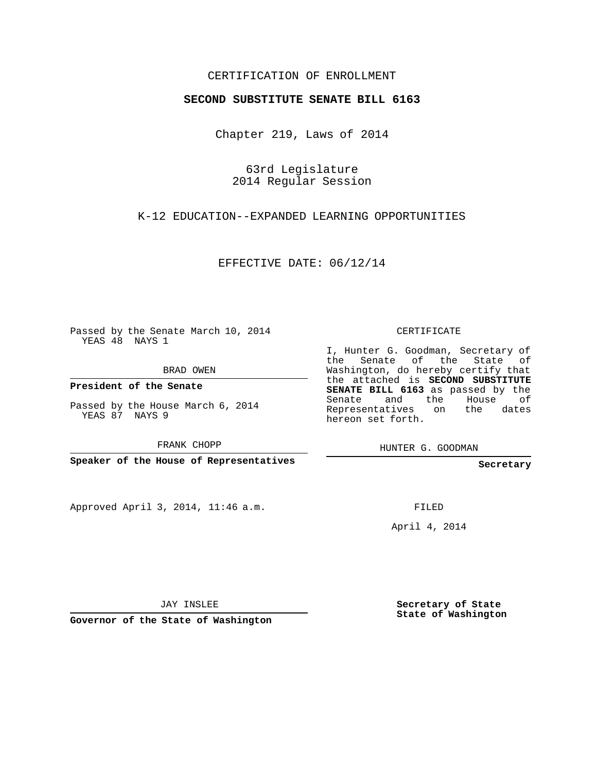## CERTIFICATION OF ENROLLMENT

#### **SECOND SUBSTITUTE SENATE BILL 6163**

Chapter 219, Laws of 2014

63rd Legislature 2014 Regular Session

### K-12 EDUCATION--EXPANDED LEARNING OPPORTUNITIES

EFFECTIVE DATE: 06/12/14

Passed by the Senate March 10, 2014 YEAS 48 NAYS 1

BRAD OWEN

**President of the Senate**

Passed by the House March 6, 2014 YEAS 87 NAYS 9

FRANK CHOPP

**Speaker of the House of Representatives**

Approved April 3, 2014, 11:46 a.m.

CERTIFICATE

I, Hunter G. Goodman, Secretary of the Senate of the State of Washington, do hereby certify that the attached is **SECOND SUBSTITUTE SENATE BILL 6163** as passed by the Senate and the House of Representatives on the dates hereon set forth.

HUNTER G. GOODMAN

**Secretary**

FILED

April 4, 2014

JAY INSLEE

**Governor of the State of Washington**

**Secretary of State State of Washington**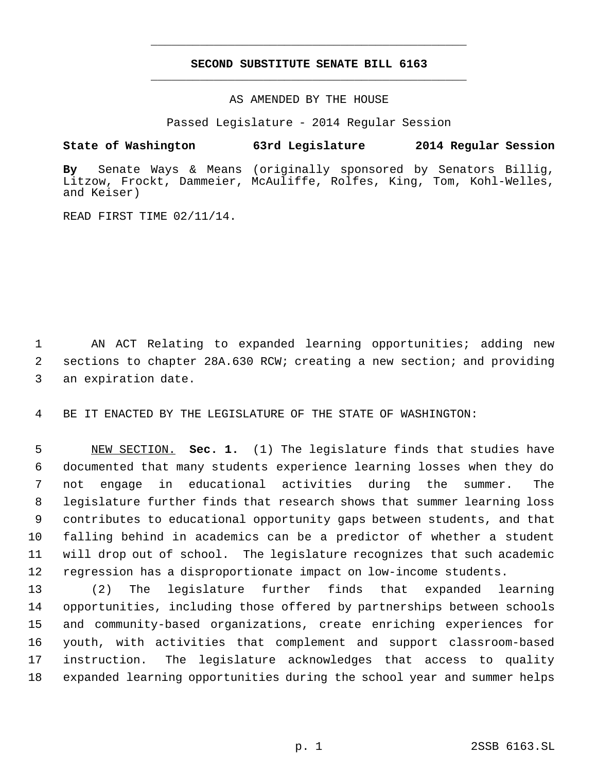# **SECOND SUBSTITUTE SENATE BILL 6163** \_\_\_\_\_\_\_\_\_\_\_\_\_\_\_\_\_\_\_\_\_\_\_\_\_\_\_\_\_\_\_\_\_\_\_\_\_\_\_\_\_\_\_\_\_

\_\_\_\_\_\_\_\_\_\_\_\_\_\_\_\_\_\_\_\_\_\_\_\_\_\_\_\_\_\_\_\_\_\_\_\_\_\_\_\_\_\_\_\_\_

AS AMENDED BY THE HOUSE

Passed Legislature - 2014 Regular Session

#### **State of Washington 63rd Legislature 2014 Regular Session**

**By** Senate Ways & Means (originally sponsored by Senators Billig, Litzow, Frockt, Dammeier, McAuliffe, Rolfes, King, Tom, Kohl-Welles, and Keiser)

READ FIRST TIME 02/11/14.

 AN ACT Relating to expanded learning opportunities; adding new sections to chapter 28A.630 RCW; creating a new section; and providing an expiration date.

BE IT ENACTED BY THE LEGISLATURE OF THE STATE OF WASHINGTON:

 NEW SECTION. **Sec. 1.** (1) The legislature finds that studies have documented that many students experience learning losses when they do not engage in educational activities during the summer. The legislature further finds that research shows that summer learning loss contributes to educational opportunity gaps between students, and that falling behind in academics can be a predictor of whether a student will drop out of school. The legislature recognizes that such academic regression has a disproportionate impact on low-income students.

 (2) The legislature further finds that expanded learning opportunities, including those offered by partnerships between schools and community-based organizations, create enriching experiences for youth, with activities that complement and support classroom-based instruction. The legislature acknowledges that access to quality expanded learning opportunities during the school year and summer helps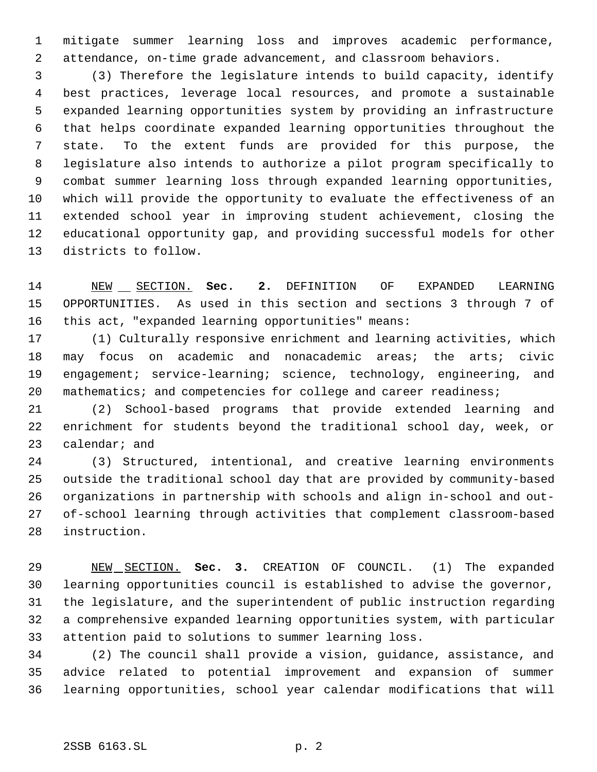mitigate summer learning loss and improves academic performance, attendance, on-time grade advancement, and classroom behaviors.

 (3) Therefore the legislature intends to build capacity, identify best practices, leverage local resources, and promote a sustainable expanded learning opportunities system by providing an infrastructure that helps coordinate expanded learning opportunities throughout the state. To the extent funds are provided for this purpose, the legislature also intends to authorize a pilot program specifically to combat summer learning loss through expanded learning opportunities, which will provide the opportunity to evaluate the effectiveness of an extended school year in improving student achievement, closing the educational opportunity gap, and providing successful models for other districts to follow.

 NEW SECTION. **Sec. 2.** DEFINITION OF EXPANDED LEARNING OPPORTUNITIES. As used in this section and sections 3 through 7 of this act, "expanded learning opportunities" means:

 (1) Culturally responsive enrichment and learning activities, which may focus on academic and nonacademic areas; the arts; civic 19 engagement; service-learning; science, technology, engineering, and 20 mathematics; and competencies for college and career readiness;

 (2) School-based programs that provide extended learning and enrichment for students beyond the traditional school day, week, or calendar; and

 (3) Structured, intentional, and creative learning environments outside the traditional school day that are provided by community-based organizations in partnership with schools and align in-school and out- of-school learning through activities that complement classroom-based instruction.

 NEW SECTION. **Sec. 3.** CREATION OF COUNCIL. (1) The expanded learning opportunities council is established to advise the governor, the legislature, and the superintendent of public instruction regarding a comprehensive expanded learning opportunities system, with particular attention paid to solutions to summer learning loss.

 (2) The council shall provide a vision, guidance, assistance, and advice related to potential improvement and expansion of summer learning opportunities, school year calendar modifications that will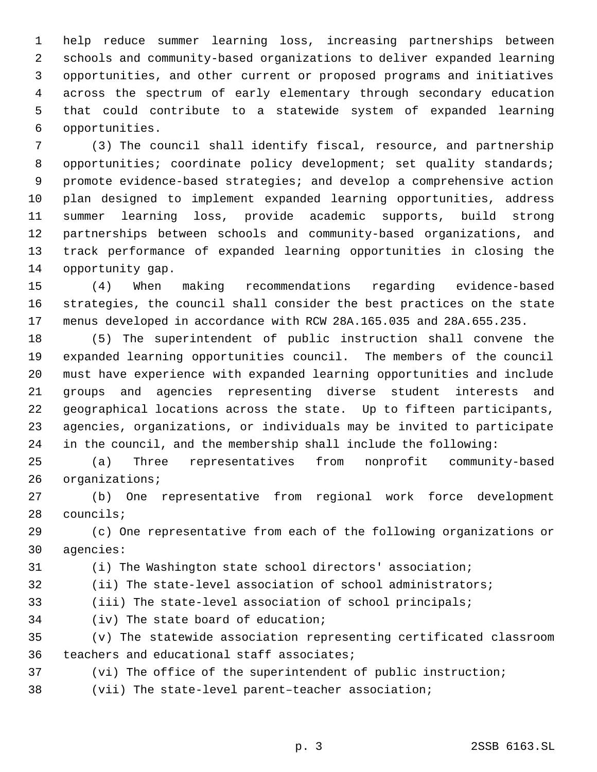help reduce summer learning loss, increasing partnerships between schools and community-based organizations to deliver expanded learning opportunities, and other current or proposed programs and initiatives across the spectrum of early elementary through secondary education that could contribute to a statewide system of expanded learning opportunities.

 (3) The council shall identify fiscal, resource, and partnership 8 opportunities; coordinate policy development; set quality standards; promote evidence-based strategies; and develop a comprehensive action plan designed to implement expanded learning opportunities, address summer learning loss, provide academic supports, build strong partnerships between schools and community-based organizations, and track performance of expanded learning opportunities in closing the opportunity gap.

 (4) When making recommendations regarding evidence-based strategies, the council shall consider the best practices on the state menus developed in accordance with RCW 28A.165.035 and 28A.655.235.

 (5) The superintendent of public instruction shall convene the expanded learning opportunities council. The members of the council must have experience with expanded learning opportunities and include groups and agencies representing diverse student interests and geographical locations across the state. Up to fifteen participants, agencies, organizations, or individuals may be invited to participate in the council, and the membership shall include the following:

 (a) Three representatives from nonprofit community-based organizations;

 (b) One representative from regional work force development councils;

 (c) One representative from each of the following organizations or agencies:

(i) The Washington state school directors' association;

(ii) The state-level association of school administrators;

(iii) The state-level association of school principals;

(iv) The state board of education;

 (v) The statewide association representing certificated classroom teachers and educational staff associates;

- (vi) The office of the superintendent of public instruction;
- (vii) The state-level parent–teacher association;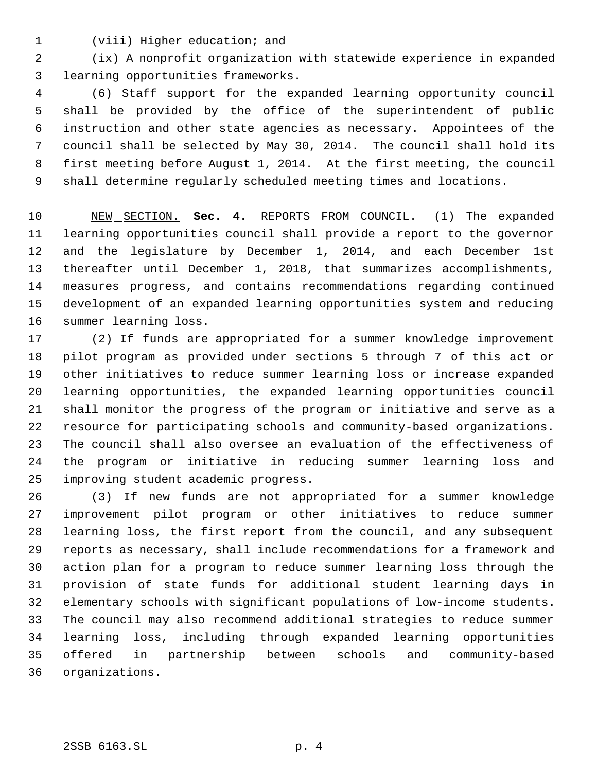(viii) Higher education; and

 (ix) A nonprofit organization with statewide experience in expanded learning opportunities frameworks.

 (6) Staff support for the expanded learning opportunity council shall be provided by the office of the superintendent of public instruction and other state agencies as necessary. Appointees of the council shall be selected by May 30, 2014. The council shall hold its first meeting before August 1, 2014. At the first meeting, the council shall determine regularly scheduled meeting times and locations.

 NEW SECTION. **Sec. 4.** REPORTS FROM COUNCIL. (1) The expanded learning opportunities council shall provide a report to the governor and the legislature by December 1, 2014, and each December 1st thereafter until December 1, 2018, that summarizes accomplishments, measures progress, and contains recommendations regarding continued development of an expanded learning opportunities system and reducing summer learning loss.

 (2) If funds are appropriated for a summer knowledge improvement pilot program as provided under sections 5 through 7 of this act or other initiatives to reduce summer learning loss or increase expanded learning opportunities, the expanded learning opportunities council shall monitor the progress of the program or initiative and serve as a resource for participating schools and community-based organizations. The council shall also oversee an evaluation of the effectiveness of the program or initiative in reducing summer learning loss and improving student academic progress.

 (3) If new funds are not appropriated for a summer knowledge improvement pilot program or other initiatives to reduce summer learning loss, the first report from the council, and any subsequent reports as necessary, shall include recommendations for a framework and action plan for a program to reduce summer learning loss through the provision of state funds for additional student learning days in elementary schools with significant populations of low-income students. The council may also recommend additional strategies to reduce summer learning loss, including through expanded learning opportunities offered in partnership between schools and community-based organizations.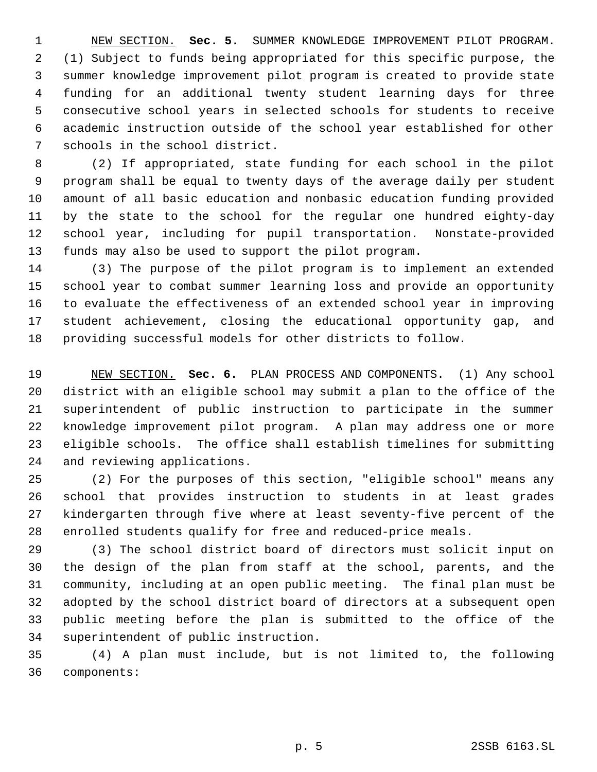NEW SECTION. **Sec. 5.** SUMMER KNOWLEDGE IMPROVEMENT PILOT PROGRAM. (1) Subject to funds being appropriated for this specific purpose, the summer knowledge improvement pilot program is created to provide state funding for an additional twenty student learning days for three consecutive school years in selected schools for students to receive academic instruction outside of the school year established for other schools in the school district.

 (2) If appropriated, state funding for each school in the pilot program shall be equal to twenty days of the average daily per student amount of all basic education and nonbasic education funding provided by the state to the school for the regular one hundred eighty-day school year, including for pupil transportation. Nonstate-provided funds may also be used to support the pilot program.

 (3) The purpose of the pilot program is to implement an extended school year to combat summer learning loss and provide an opportunity to evaluate the effectiveness of an extended school year in improving student achievement, closing the educational opportunity gap, and providing successful models for other districts to follow.

 NEW SECTION. **Sec. 6.** PLAN PROCESS AND COMPONENTS. (1) Any school district with an eligible school may submit a plan to the office of the superintendent of public instruction to participate in the summer knowledge improvement pilot program. A plan may address one or more eligible schools. The office shall establish timelines for submitting and reviewing applications.

 (2) For the purposes of this section, "eligible school" means any school that provides instruction to students in at least grades kindergarten through five where at least seventy-five percent of the enrolled students qualify for free and reduced-price meals.

 (3) The school district board of directors must solicit input on the design of the plan from staff at the school, parents, and the community, including at an open public meeting. The final plan must be adopted by the school district board of directors at a subsequent open public meeting before the plan is submitted to the office of the superintendent of public instruction.

 (4) A plan must include, but is not limited to, the following components: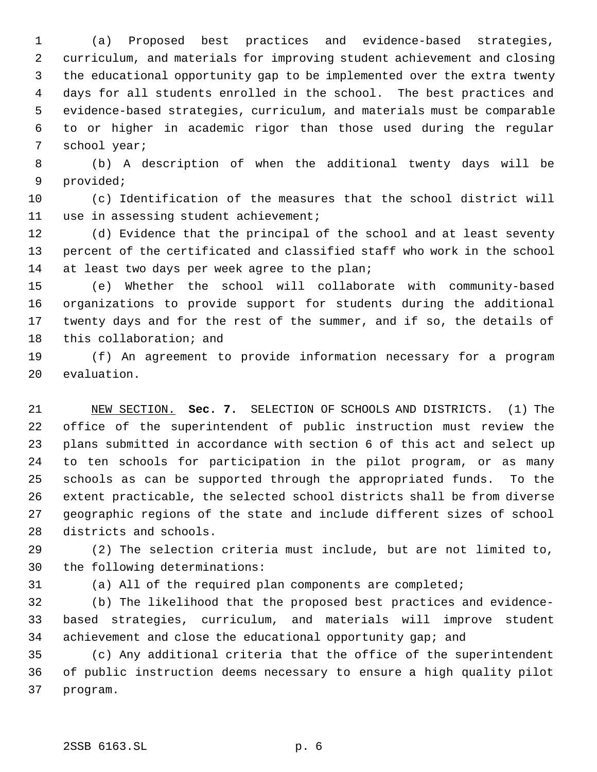(a) Proposed best practices and evidence-based strategies, curriculum, and materials for improving student achievement and closing the educational opportunity gap to be implemented over the extra twenty days for all students enrolled in the school. The best practices and evidence-based strategies, curriculum, and materials must be comparable to or higher in academic rigor than those used during the regular school year;

 (b) A description of when the additional twenty days will be provided;

 (c) Identification of the measures that the school district will use in assessing student achievement;

 (d) Evidence that the principal of the school and at least seventy percent of the certificated and classified staff who work in the school 14 at least two days per week agree to the plan;

 (e) Whether the school will collaborate with community-based organizations to provide support for students during the additional twenty days and for the rest of the summer, and if so, the details of this collaboration; and

 (f) An agreement to provide information necessary for a program evaluation.

 NEW SECTION. **Sec. 7.** SELECTION OF SCHOOLS AND DISTRICTS. (1) The office of the superintendent of public instruction must review the plans submitted in accordance with section 6 of this act and select up to ten schools for participation in the pilot program, or as many schools as can be supported through the appropriated funds. To the extent practicable, the selected school districts shall be from diverse geographic regions of the state and include different sizes of school districts and schools.

 (2) The selection criteria must include, but are not limited to, the following determinations:

(a) All of the required plan components are completed;

 (b) The likelihood that the proposed best practices and evidence- based strategies, curriculum, and materials will improve student 34 achievement and close the educational opportunity gap; and

 (c) Any additional criteria that the office of the superintendent of public instruction deems necessary to ensure a high quality pilot program.